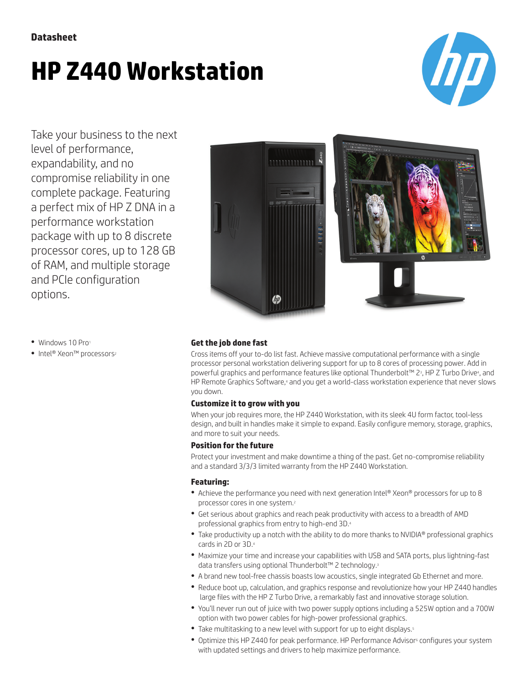# **HP Z440 Workstation**



Take your business to the next level of performance, expandability, and no compromise reliability in one complete package. Featuring a perfect mix of HP Z DNA in a performance workstation package with up to 8 discrete processor cores, up to 128 GB of RAM, and multiple storage and PCIe configuration options.





- Windows 10 Pro1
- Intel® Xeon™ processors<sup>2</sup>

#### **Get the job done fast**

Cross items off your to-do list fast. Achieve massive computational performance with a single processor personal workstation delivering support for up to 8 cores of processing power. Add in powerful graphics and performance features like optional Thunderbolt™ 2ª, HP Z Turbo Drive4, and HP Remote Graphics Software,<sup>4</sup> and you get a world-class workstation experience that never slows you down.

#### **Customize it to grow with you**

When your job requires more, the HP Z440 Workstation, with its sleek 4U form factor, tool-less design, and built in handles make it simple to expand. Easily configure memory, storage, graphics, and more to suit your needs.

#### **Position for the future**

Protect your investment and make downtime a thing of the past. Get no-compromise reliability and a standard 3/3/3 limited warranty from the HP Z440 Workstation.

### **Featuring:**

- Achieve the performance you need with next generation Intel® Xeon® processors for up to 8 processor cores in one system.<sup>2</sup>
- Get serious about graphics and reach peak productivity with access to a breadth of AMD professional graphics from entry to high-end 3D.<sup>4</sup>
- Take productivity up a notch with the ability to do more thanks to NVIDIA® professional graphics cards in 2D or 3D.<sup>4</sup>
- Maximize your time and increase your capabilities with USB and SATA ports, plus lightning-fast data transfers using optional Thunderbolt™ 2 technology.<sup>3</sup>
- A brand new tool-free chassis boasts low acoustics, single integrated Gb Ethernet and more.
- Reduce boot up, calculation, and graphics response and revolutionize how your HP Z440 handles large files with the HP Z Turbo Drive, a remarkably fast and innovative storage solution.
- You'll never run out of juice with two power supply options including a 525W option and a 700W option with two power cables for high-power professional graphics.
- Take multitasking to a new level with support for up to eight displays.<sup>5</sup>
- Optimize this HP Z440 for peak performance. HP Performance Advisor<sup>6</sup> configures your system with updated settings and drivers to help maximize performance.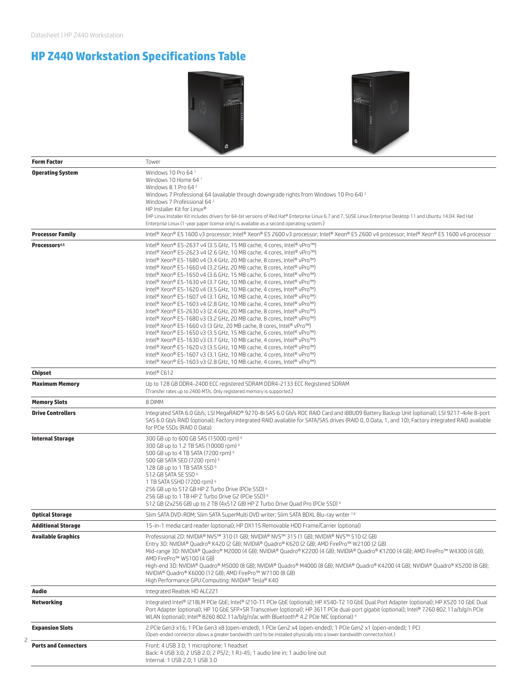# **HP Z440 Workstation Specifications Table**





| <b>Form Factor</b>          | Tower                                                                                                                                                                                                                                                                                                                           |
|-----------------------------|---------------------------------------------------------------------------------------------------------------------------------------------------------------------------------------------------------------------------------------------------------------------------------------------------------------------------------|
| <b>Operating System</b>     | Windows 10 Pro 64 <sup>1</sup>                                                                                                                                                                                                                                                                                                  |
|                             | Windows 10 Home 64 1                                                                                                                                                                                                                                                                                                            |
|                             | Windows 8.1 Pro 64 <sup>2</sup>                                                                                                                                                                                                                                                                                                 |
|                             | Windows 7 Professional 64 (available through downgrade rights from Windows 10 Pro 64) 3<br>Windows 7 Professional 64 <sup>2</sup>                                                                                                                                                                                               |
|                             | HP Installer Kit for Linux®                                                                                                                                                                                                                                                                                                     |
|                             | (HP Linux Installer Kit includes drivers for 64-bit versions of Red Hat® Enterprise Linux 6.7 and 7, SUSE Linux Enterprise Desktop 11 and Ubuntu 14.04. Red Hat                                                                                                                                                                 |
|                             | Enterprise Linux (1-year paper license only) is available as a second operating system.)                                                                                                                                                                                                                                        |
| <b>Processor Family</b>     | Intel® Xeon® E5 1600 v3 processor; Intel® Xeon® E5 2600 v3 processor; Intel® Xeon® E5 2600 v4 processor; Intel® Xeon® E5 1600 v4 processor                                                                                                                                                                                      |
| Processors <sup>4,5</sup>   | Intel® Xeon® E5-2637 v4 (3.5 GHz, 15 MB cache, 4 cores, Intel® vPro™)                                                                                                                                                                                                                                                           |
|                             | Intel® Xeon® E5-2623 v4 (2.6 GHz, 10 MB cache, 4 cores, Intel® vPro™)                                                                                                                                                                                                                                                           |
|                             | Intel® Xeon® E5-1680 v4 (3.4 GHz, 20 MB cache, 8 cores, Intel® vPro™)<br>Intel® Xeon® E5-1660 v4 (3.2 GHz, 20 MB cache, 8 cores, Intel® vPro™)                                                                                                                                                                                  |
|                             | Intel® Xeon® E5-1650 v4 (3.6 GHz, 15 MB cache, 6 cores, Intel® vPro™)                                                                                                                                                                                                                                                           |
|                             | Intel® Xeon® E5-1630 v4 (3.7 GHz, 10 MB cache, 4 cores, Intel® vPro™)                                                                                                                                                                                                                                                           |
|                             | Intel® Xeon® E5-1620 v4 (3.5 GHz, 10 MB cache, 4 cores, Intel® vPro™)                                                                                                                                                                                                                                                           |
|                             | Intel® Xeon® E5-1607 v4 (3.1 GHz, 10 MB cache, 4 cores, Intel® vPro™)<br>Intel® Xeon® E5-1603 v4 (2.8 GHz, 10 MB cache, 4 cores, Intel® vPro™)                                                                                                                                                                                  |
|                             | Intel® Xeon® E5-2630 v3 (2.4 GHz, 20 MB cache, 8 cores, Intel® vPro™)                                                                                                                                                                                                                                                           |
|                             | Intel® Xeon® E5-1680 v3 (3.2 GHz, 20 MB cache, 8 cores, Intel® vPro™)                                                                                                                                                                                                                                                           |
|                             | Intel® Xeon® E5-1660 v3 (3 GHz, 20 MB cache, 8 cores, Intel® vPro™)                                                                                                                                                                                                                                                             |
|                             | Intel® Xeon® E5-1650 v3 (3.5 GHz, 15 MB cache, 6 cores, Intel® vPro™)                                                                                                                                                                                                                                                           |
|                             | Intel® Xeon® E5-1630 v3 (3.7 GHz, 10 MB cache, 4 cores, Intel® vPro™)<br>Intel® Xeon® E5-1620 v3 (3.5 GHz, 10 MB cache, 4 cores, Intel® vPro™)                                                                                                                                                                                  |
|                             | Intel® Xeon® E5-1607 v3 (3.1 GHz, 10 MB cache, 4 cores, Intel® vPro™)                                                                                                                                                                                                                                                           |
|                             | Intel® Xeon® E5-1603 v3 (2.8 GHz, 10 MB cache, 4 cores, Intel® vPro™)                                                                                                                                                                                                                                                           |
| Chipset                     | Intel® C612                                                                                                                                                                                                                                                                                                                     |
| <b>Maximum Memory</b>       | Up to 128 GB DDR4-2400 ECC registered SDRAM DDR4-2133 ECC Registered SDRAM<br>(Transfer rates up to 2400 MT/s. Only registered memory is supported.)                                                                                                                                                                            |
| <b>Memory Slots</b>         | 8 DIMM                                                                                                                                                                                                                                                                                                                          |
| <b>Drive Controllers</b>    | Integrated SATA 6.0 Gb/s; LSI MegaRAID® 9270-8i SAS 6.0 Gb/s ROC RAID Card and iBBU09 Battery Backup Unit (optional); LSI 9217-4i4e 8-port<br>SAS 6.0 Gb/s RAID (optional); Factory integrated RAID available for SATA/SAS drives (RAID 0, 0 Data, 1, and 10); Factory integrated RAID available<br>for PCIe SSDs (RAID 0 Data) |
| <b>Internal Storage</b>     | 300 GB up to 600 GB SAS (15000 rpm) <sup>6</sup>                                                                                                                                                                                                                                                                                |
|                             | 300 GB up to 1.2 TB SAS (10000 rpm) 6                                                                                                                                                                                                                                                                                           |
|                             | 500 GB up to 4 TB SATA (7200 rpm) 6<br>500 GB SATA SED (7200 rpm) 6                                                                                                                                                                                                                                                             |
|                             | 128 GB up to 1 TB SATA SSD 6                                                                                                                                                                                                                                                                                                    |
|                             | 512 GB SATA SE SSD 6                                                                                                                                                                                                                                                                                                            |
|                             | 1 TB SATA SSHD (7200 rpm) 6                                                                                                                                                                                                                                                                                                     |
|                             | 256 GB up to 512 GB HP Z Turbo Drive (PCIe SSD) <sup>6</sup><br>256 GB up to 1 TB HP Z Turbo Drive G2 (PCIe SSD) 6                                                                                                                                                                                                              |
|                             | 512 GB (2x256 GB) up to 2 TB (4x512 GB) HP Z Turbo Drive Quad Pro (PCIe SSD) 6                                                                                                                                                                                                                                                  |
| <b>Optical Storage</b>      | Slim SATA DVD-ROM; Slim SATA SuperMulti DVD writer; Slim SATA BDXL Blu-ray writer 7.8                                                                                                                                                                                                                                           |
| <b>Additional Storage</b>   | 15-in-1 media card reader (optional); HP DX115 Removable HDD Frame/Carrier (optional)                                                                                                                                                                                                                                           |
| <b>Available Graphics</b>   | Professional 2D: NVIDIA® NVS™ 310 (1 GB); NVIDIA® NVS™ 315 (1 GB); NVIDIA® NVS™ 510 (2 GB)                                                                                                                                                                                                                                      |
|                             | Entry 3D: NVIDIA® Quadro® K420 (2 GB); NVIDIA® Quadro® K620 (2 GB); AMD FirePro™ W2100 (2 GB)                                                                                                                                                                                                                                   |
|                             | Mid-range 3D: NVIDIA® Quadro® M2000 (4 GB); NVIDIA® Quadro® K2200 (4 GB); NVIDIA® Quadro® K1200 (4 GB); AMD FirePro™ W4300 (4 GB);                                                                                                                                                                                              |
|                             | AMD FirePro™ W5100 (4 GB)                                                                                                                                                                                                                                                                                                       |
|                             | High-end 3D: NVIDIA® Quadro® M5000 (8 GB); NVIDIA® Quadro® M4000 (8 GB); NVIDIA® Quadro® K4200 (4 GB); NVIDIA® Quadro® K5200 (8 GB);<br>NVIDIA® Quadro® K6000 (12 GB); AMD FirePro™ W7100 (8 GB)                                                                                                                                |
|                             | High Performance GPU Computing: NVIDIA® Tesla® K40                                                                                                                                                                                                                                                                              |
| Audio                       | Integrated Realtek HD ALC221                                                                                                                                                                                                                                                                                                    |
| <b>Networking</b>           | Integrated Intel® I218LM PCIe GbE; Intel® I210-T1 PCIe GbE (optional); HP X540-T2 10 GbE Dual Port Adapter (optional); HP X520 10 GbE Dual                                                                                                                                                                                      |
|                             | Port Adapter (optional); HP 10 GbE SFP+SR Transceiver (optional); HP 361T PCle dual-port gigabit (optional); Intel® 7260 802.11a/b/g/n PCle                                                                                                                                                                                     |
|                             | WLAN (optional): Intel® 8260 802.11a/b/g/n/ac with Bluetooth® 4.2 PCIe NIC (optional) 9                                                                                                                                                                                                                                         |
| <b>Expansion Slots</b>      | 2 PCle Gen3 x16; 1 PCle Gen3 x8 (open-ended); 1 PCle Gen2 x4 (open-ended); 1 PCle Gen2 x1 (open-ended); 1 PCl<br>(Open-ended connector allows a greater bandwidth card to be installed physically into a lower bandwidth connector/slot.)                                                                                       |
| <b>Ports and Connectors</b> | Front: 4 USB 3.0; 1 microphone; 1 headset                                                                                                                                                                                                                                                                                       |
|                             | Back: 4 USB 3.0; 2 USB 2.0; 2 PS/2; 1 RJ-45; 1 audio line in; 1 audio line out                                                                                                                                                                                                                                                  |
|                             | Internal: 1 USB 2.0; 1 USB 3.0                                                                                                                                                                                                                                                                                                  |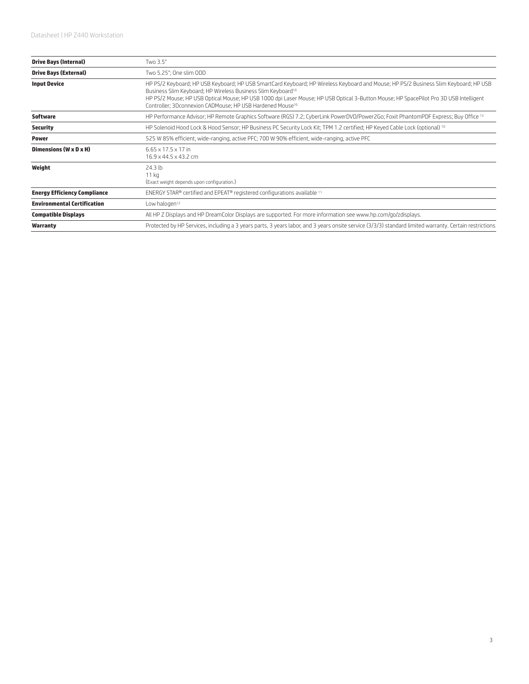| <b>Drive Bays (Internal)</b>        | Two 3.5"                                                                                                                                                                                                                                                                                                                                                                                                                           |
|-------------------------------------|------------------------------------------------------------------------------------------------------------------------------------------------------------------------------------------------------------------------------------------------------------------------------------------------------------------------------------------------------------------------------------------------------------------------------------|
| <b>Drive Bays (External)</b>        | Two 5.25"; One slim ODD                                                                                                                                                                                                                                                                                                                                                                                                            |
| <b>Input Device</b>                 | HP PS/2 Keyboard; HP USB Keyboard; HP USB SmartCard Keyboard; HP Wireless Keyboard and Mouse; HP PS/2 Business Slim Keyboard; HP USB<br>Business Slim Keyboard; HP Wireless Business Slim Keyboard <sup>10</sup><br>HP PS/2 Mouse; HP USB Optical Mouse; HP USB 1000 dpi Laser Mouse; HP USB Optical 3-Button Mouse; HP SpacePilot Pro 3D USB Intelligent<br>Controller; 3Dconnexion CADMouse; HP USB Hardened Mouse <sup>10</sup> |
| <b>Software</b>                     | HP Performance Advisor; HP Remote Graphics Software (RGS) 7.2; CyberLink PowerDVD/Power2Go; Foxit PhantomPDF Express; Buy Office 13                                                                                                                                                                                                                                                                                                |
| <b>Security</b>                     | HP Solenoid Hood Lock & Hood Sensor; HP Business PC Security Lock Kit; TPM 1.2 certified; HP Keyed Cable Lock (optional) 10                                                                                                                                                                                                                                                                                                        |
| <b>Power</b>                        | 525 W 85% efficient, wide-ranging, active PFC; 700 W 90% efficient, wide-ranging, active PFC                                                                                                                                                                                                                                                                                                                                       |
| Dimensions (W x D x H)              | $6.65 \times 17.5 \times 17$ in<br>16.9 x 44.5 x 43.2 cm                                                                                                                                                                                                                                                                                                                                                                           |
| Weight                              | 24.3 lb<br>11 <sub>kg</sub><br>(Exact weight depends upon configuration.)                                                                                                                                                                                                                                                                                                                                                          |
| <b>Energy Efficiency Compliance</b> | ENERGY STAR® certified and EPEAT® registered configurations available 11                                                                                                                                                                                                                                                                                                                                                           |
| <b>Environmental Certification</b>  | Low halogen <sup>12</sup>                                                                                                                                                                                                                                                                                                                                                                                                          |
| <b>Compatible Displays</b>          | All HP Z Displays and HP DreamColor Displays are supported. For more information see www.hp.com/go/zdisplays.                                                                                                                                                                                                                                                                                                                      |
| Warranty                            | Protected by HP Services, including a 3 years parts, 3 years labor, and 3 years onsite service (3/3/3) standard limited warranty. Certain restrictions                                                                                                                                                                                                                                                                             |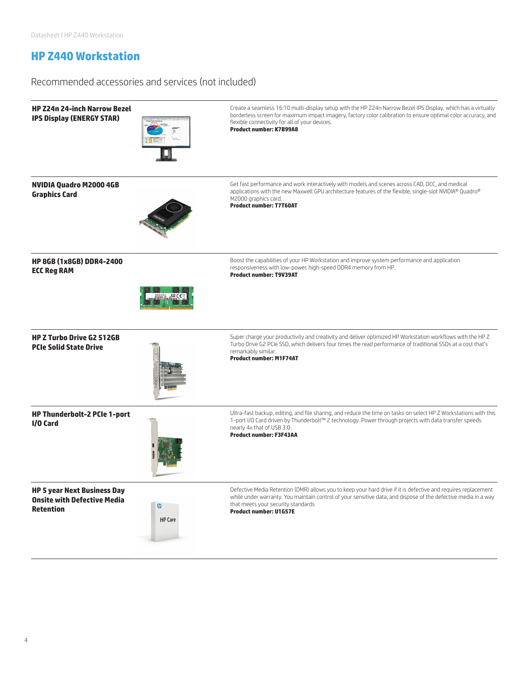## **HP Z440 Workstation**

Recommended accessories and services (not included)